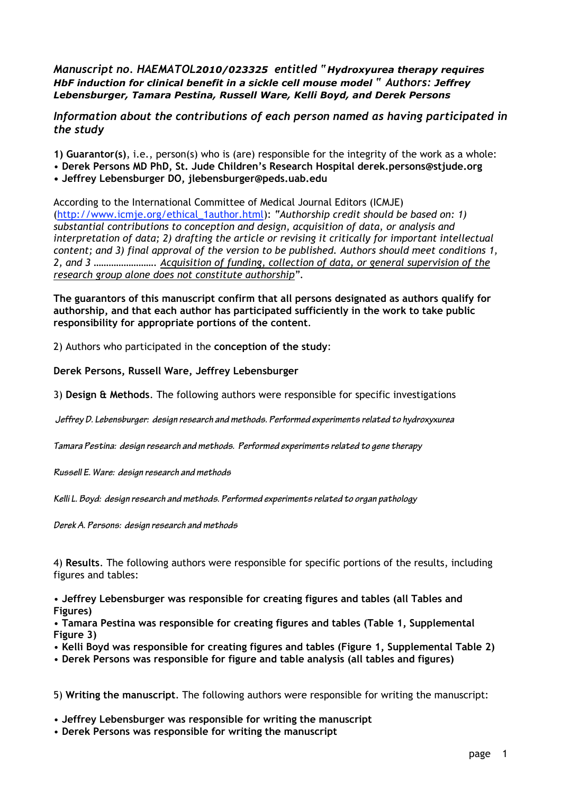*Manuscript no. HAEMATOL2010/023325 entitled "Hydroxyurea therapy requires HbF induction for clinical benefit in a sickle cell mouse model " Authors: Jeffrey Lebensburger, Tamara Pestina, Russell Ware, Kelli Boyd, and Derek Persons*

*Information about the contributions of each person named as having participated in the study*

**1) Guarantor(s)**, i.e., person(s) who is (are) responsible for the integrity of the work as a whole:

• **Derek Persons MD PhD, St. Jude Children's Research Hospital derek.persons@stjude.org**

**• Jeffrey Lebensburger DO, jlebensburger@peds.uab.edu**

According to the International Committee of Medical Journal Editors (ICMJE) (http://www.icmje.org/ethical\_1author.html): *"Authorship credit should be based on: 1) substantial contributions to conception and design, acquisition of data, or analysis and interpretation of data; 2) drafting the article or revising it critically for important intellectual content; and 3) final approval of the version to be published. Authors should meet conditions 1, 2, and 3 ……………………. Acquisition of funding, collection of data, or general supervision of the research group alone does not constitute authorship".*

**The guarantors of this manuscript confirm that all persons designated as authors qualify for authorship, and that each author has participated sufficiently in the work to take public responsibility for appropriate portions of the content**.

2) Authors who participated in the **conception of the study**:

### **Derek Persons, Russell Ware, Jeffrey Lebensburger**

3) **Design & Methods**. The following authors were responsible for specific investigations

 **Jeffrey D. Lebensburger: design research and methods. Performed experiments related to hydroxyxurea**

**Tamara Pestina: design research and methods. Performed experiments related to gene therapy**

**Russell E. Ware: design research and methods**

**Kelli L. Boyd: design research and methods. Performed experiments related to organ pathology**

**Derek A. Persons: design research and methods**

4) **Results**. The following authors were responsible for specific portions of the results, including figures and tables:

• **Jeffrey Lebensburger was responsible for creating figures and tables (all Tables and Figures)**

• **Tamara Pestina was responsible for creating figures and tables (Table 1, Supplemental Figure 3)**

• **Kelli Boyd was responsible for creating figures and tables (Figure 1, Supplemental Table 2)**

• **Derek Persons was responsible for figure and table analysis (all tables and figures)**

5) **Writing the manuscript**. The following authors were responsible for writing the manuscript:

• **Jeffrey Lebensburger was responsible for writing the manuscript**

• **Derek Persons was responsible for writing the manuscript**